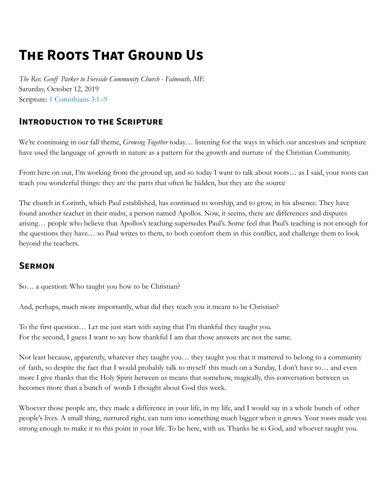## **THE ROOTS THAT GROUND US**

*The Rev. Geoff Parker to Foreside Community Church - Falmouth, ME* Saturday, October 12, 2019 Scripture: [1 Corinthians 3:1–9](http://bible.oremus.org/?passage=1+Corinthians+3:1-9)

## **INTRODUCTION TO THE SCRIPTURE**

We're continuing in our fall theme, *Growing Together* today… listening for the ways in which our ancestors and scripture have used the language of growth in nature as a pattern for the growth and nurture of the Christian Community.

From here on out, I'm working from the ground up, and so today I want to talk about roots… as I said, your roots can teach you wonderful things: they are the parts that often lie hidden, but they are the source

The church in Corinth, which Paul established, has continued to worship, and to grow, in his absence. They have found another teacher in their midst, a person named Apollos. Now, it seems, there are differences and disputes arising… people who believe that Apollos's teaching supersedes Paul's. Some feel that Paul's teaching is not enough for the questions they have… so Paul writes to them, to both comfort them in this conflict, and challenge them to look beyond the teachers.

## **SERMON**

So… a question: Who taught you how to be Christian?

And, perhaps, much more importantly, what did they teach you it meant to be Christian?

To the first question… Let me just start with saying that I'm thankful they taught you. For the second, I guess I want to say how thankful I am that those answers are not the same.

Not least because, apparently, whatever they taught you… they taught you that it mattered to belong to a community of faith, so despite the fact that I would probably talk to myself this much on a Sunday, I don't have to… and even more I give thanks that the Holy Spirit between us means that somehow, magically, this conversation between us becomes more than a bunch of words I thought about God this week.

Whoever those people are, they made a difference in your life, in my life, and I would say in a whole bunch of other people's lives. A small thing, nurtured right, can turn into something much bigger when it grows. Your roots made you strong enough to make it to this point in your life. To be here, with us. Thanks be to God, and whoever taught you.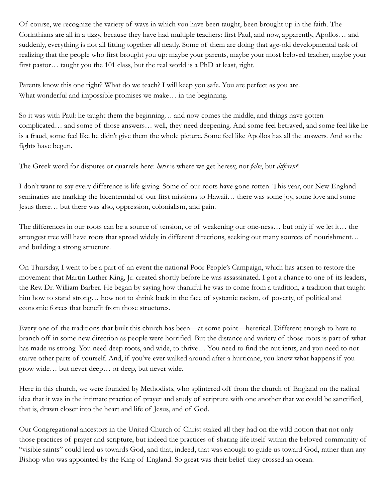Of course, we recognize the variety of ways in which you have been taught, been brought up in the faith. The Corinthians are all in a tizzy, because they have had multiple teachers: first Paul, and now, apparently, Apollos… and suddenly, everything is not all fitting together all neatly. Some of them are doing that age-old developmental task of realizing that the people who first brought you up: maybe your parents, maybe your most beloved teacher, maybe your first pastor… taught you the 101 class, but the real world is a PhD at least, right.

Parents know this one right? What do we teach? I will keep you safe. You are perfect as you are. What wonderful and impossible promises we make… in the beginning.

So it was with Paul: he taught them the beginning… and now comes the middle, and things have gotten complicated… and some of those answers… well, they need deepening. And some feel betrayed, and some feel like he is a fraud, some feel like he didn't give them the whole picture. Some feel like Apollos has all the answers. And so the fights have begun.

The Greek word for disputes or quarrels here: *heris* is where we get heresy, not *false*, but *different*!

I don't want to say every difference is life giving. Some of our roots have gone rotten. This year, our New England seminaries are marking the bicentennial of our first missions to Hawaii… there was some joy, some love and some Jesus there… but there was also, oppression, colonialism, and pain.

The differences in our roots can be a source of tension, or of weakening our one-ness… but only if we let it… the strongest tree will have roots that spread widely in different directions, seeking out many sources of nourishment… and building a strong structure.

On Thursday, I went to be a part of an event the national Poor People's Campaign, which has arisen to restore the movement that Martin Luther King, Jr. created shortly before he was assassinated. I got a chance to one of its leaders, the Rev. Dr. William Barber. He began by saying how thankful he was to come from a tradition, a tradition that taught him how to stand strong... how not to shrink back in the face of systemic racism, of poverty, of political and economic forces that benefit from those structures.

Every one of the traditions that built this church has been—at some point—heretical. Different enough to have to branch off in some new direction as people were horrified. But the distance and variety of those roots is part of what has made us strong. You need deep roots, and wide, to thrive... You need to find the nutrients, and you need to not starve other parts of yourself. And, if you've ever walked around after a hurricane, you know what happens if you grow wide… but never deep… or deep, but never wide.

Here in this church, we were founded by Methodists, who splintered off from the church of England on the radical idea that it was in the intimate practice of prayer and study of scripture with one another that we could be sanctified, that is, drawn closer into the heart and life of Jesus, and of God.

Our Congregational ancestors in the United Church of Christ staked all they had on the wild notion that not only those practices of prayer and scripture, but indeed the practices of sharing life itself within the beloved community of "visible saints" could lead us towards God, and that, indeed, that was enough to guide us toward God, rather than any Bishop who was appointed by the King of England. So great was their belief they crossed an ocean.